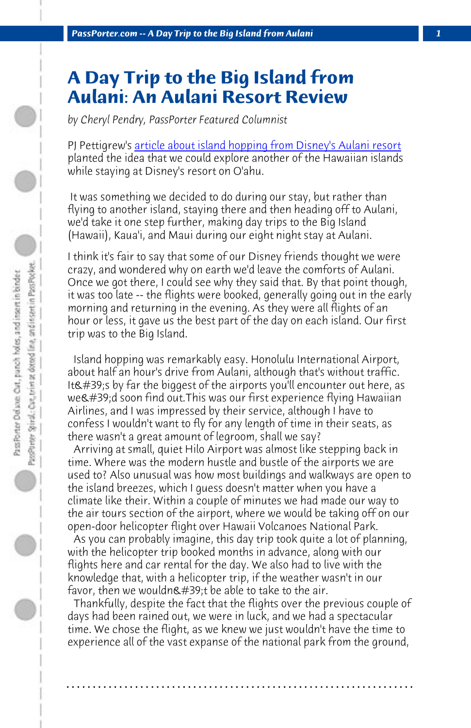*PassPorter.com -- A Day Trip to the Big Island from Aulani 1*

## **A Day Trip to the Big Island from Aulani: An Aulani Resort Review**

*by Cheryl Pendry, PassPorter Featured Columnist*

PJ Pettigrew's article about island hopping from Disney's Aulani resort planted the idea that we could explore another of the Hawaiian islands while staying at Disney's resort on O'ahu.

 It was something we decided to do during our stay, but rather than flying to another island, staying there and then heading off to Aulani, we'd take it one step further, making day trips to the Big Island (Hawaii), Kaua'i, and Maui during our eight night stay at Aulani.

I think it's fair to say that some of our Disney friends thought we were crazy, and wondered why on earth we'd leave the comforts of Aulani. Once we got there, I could see why they said that. By that point though, it was too late -- the flights were booked, generally going out in the early morning and returning in the evening. As they were all flights of an hour or less, it gave us the best part of the day on each island. Our first trip was to the Big Island.

 Island hopping was remarkably easy. Honolulu International Airport, about half an hour's drive from Aulani, although that's without traffic. It's by far the biggest of the airports you'll encounter out here, as we'd soon find out. This was our first experience flying Hawaiian Airlines, and I was impressed by their service, although I have to confess I wouldn't want to fly for any length of time in their seats, as there wasn't a great amount of legroom, shall we say?

 Arriving at small, quiet Hilo Airport was almost like stepping back in time. Where was the modern hustle and bustle of the airports we are used to? Also unusual was how most buildings and walkways are open to the island breezes, which I guess doesn't matter when you have a climate like their. Within a couple of minutes we had made our way to the air tours section of the airport, where we would be taking off on our open-door helicopter flight over Hawaii Volcanoes National Park.

 As you can probably imagine, this day trip took quite a lot of planning, with the helicopter trip booked months in advance, along with our flights here and car rental for the day. We also had to live with the knowledge that, with a helicopter trip, if the weather wasn't in our favor, then we wouldn $'$ ;t be able to take to the air.

 Thankfully, despite the fact that the flights over the previous couple of days had been rained out, we were in luck, and we had a spectacular time. We chose the flight, as we knew we just wouldn't have the time to experience all of the vast expanse of the national park from the ground,

**. . . . . . . . . . . . . . . . . . . . . . . . . . . . . . . . . . . . . . . . . . . . . . . . . . . . . . . . . . . . . . . . . .**

 $\bigcirc$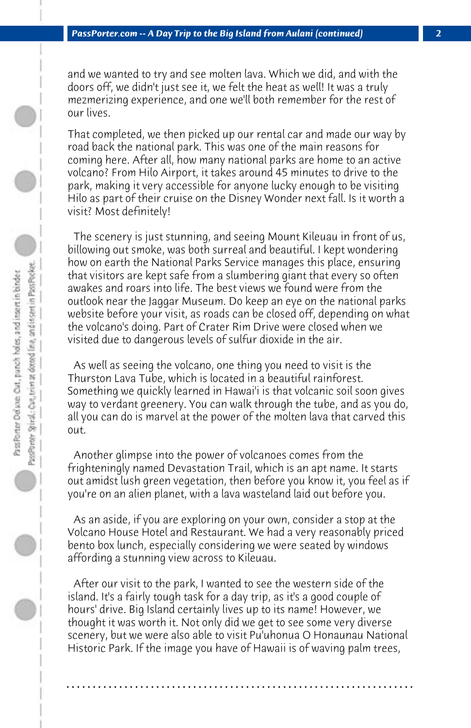and we wanted to try and see molten lava. Which we did, and with the doors off, we didn't just see it, we felt the heat as well! It was a truly mezmerizing experience, and one we'll both remember for the rest of our lives.

That completed, we then picked up our rental car and made our way by road back the national park. This was one of the main reasons for coming here. After all, how many national parks are home to an active volcano? From Hilo Airport, it takes around 45 minutes to drive to the park, making it very accessible for anyone lucky enough to be visiting Hilo as part of their cruise on the Disney Wonder next fall. Is it worth a visit? Most definitely!

 The scenery is just stunning, and seeing Mount Kileuau in front of us, billowing out smoke, was both surreal and beautiful. I kept wondering how on earth the National Parks Service manages this place, ensuring that visitors are kept safe from a slumbering giant that every so often awakes and roars into life. The best views we found were from the outlook near the Jaggar Museum. Do keep an eye on the national parks website before your visit, as roads can be closed off, depending on what the volcano's doing. Part of Crater Rim Drive were closed when we visited due to dangerous levels of sulfur dioxide in the air.

 As well as seeing the volcano, one thing you need to visit is the Thurston Lava Tube, which is located in a beautiful rainforest. Something we quickly learned in Hawai'i is that volcanic soil soon gives way to verdant greenery. You can walk through the tube, and as you do, all you can do is marvel at the power of the molten lava that carved this out.

 Another glimpse into the power of volcanoes comes from the frighteningly named Devastation Trail, which is an apt name. It starts out amidst lush green vegetation, then before you know it, you feel as if you're on an alien planet, with a lava wasteland laid out before you.

 As an aside, if you are exploring on your own, consider a stop at the Volcano House Hotel and Restaurant. We had a very reasonably priced bento box lunch, especially considering we were seated by windows affording a stunning view across to Kileuau.

 After our visit to the park, I wanted to see the western side of the island. It's a fairly tough task for a day trip, as it's a good couple of hours' drive. Big Island certainly lives up to its name! However, we thought it was worth it. Not only did we get to see some very diverse scenery, but we were also able to visit Pu'uhonua O Honaunau National Historic Park. If the image you have of Hawaii is of waving palm trees,

**. . . . . . . . . . . . . . . . . . . . . . . . . . . . . . . . . . . . . . . . . . . . . . . . . . . . . . . . . . . . . . . . . .**